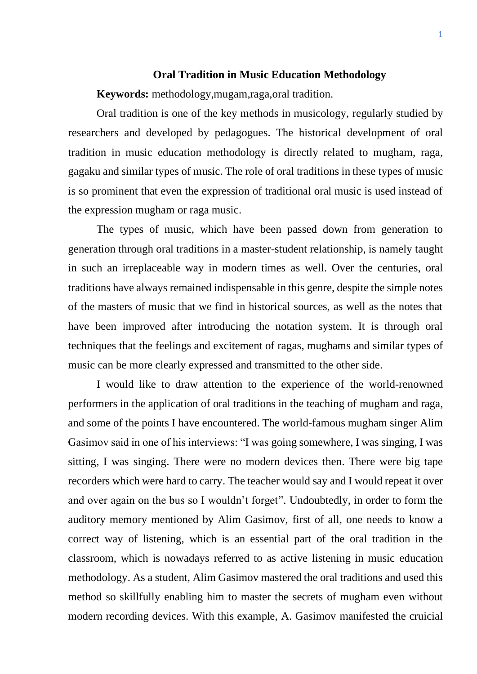## **Oral Tradition in Music Education Methodology**

**Keywords:** methodology,mugam,raga,oral tradition.

Oral tradition is one of the key methods in musicology, regularly studied by researchers and developed by pedagogues. The historical development of oral tradition in music education methodology is directly related to mugham, raga, gagaku and similar types of music. The role of oral traditions in these types of music is so prominent that even the expression of traditional oral music is used instead of the expression mugham or raga music.

The types of music, which have been passed down from generation to generation through oral traditions in a master-student relationship, is namely taught in such an irreplaceable way in modern times as well. Over the centuries, oral traditions have always remained indispensable in this genre, despite the simple notes of the masters of music that we find in historical sources, as well as the notes that have been improved after introducing the notation system. It is through oral techniques that the feelings and excitement of ragas, mughams and similar types of music can be more clearly expressed and transmitted to the other side.

I would like to draw attention to the experience of the world-renowned performers in the application of oral traditions in the teaching of mugham and raga, and some of the points I have encountered. The world-famous mugham singer Alim Gasimov said in one of his interviews: "I was going somewhere, I was singing, I was sitting, I was singing. There were no modern devices then. There were big tape recorders which were hard to carry. The teacher would say and I would repeat it over and over again on the bus so I wouldn't forget". Undoubtedly, in order to form the auditory memory mentioned by Alim Gasimov, first of all, one needs to know a correct way of listening, which is an essential part of the oral tradition in the classroom, which is nowadays referred to as active listening in music education methodology. As a student, Alim Gasimov mastered the oral traditions and used this method so skillfully enabling him to master the secrets of mugham even without modern recording devices. With this example, A. Gasimov manifested the cruicial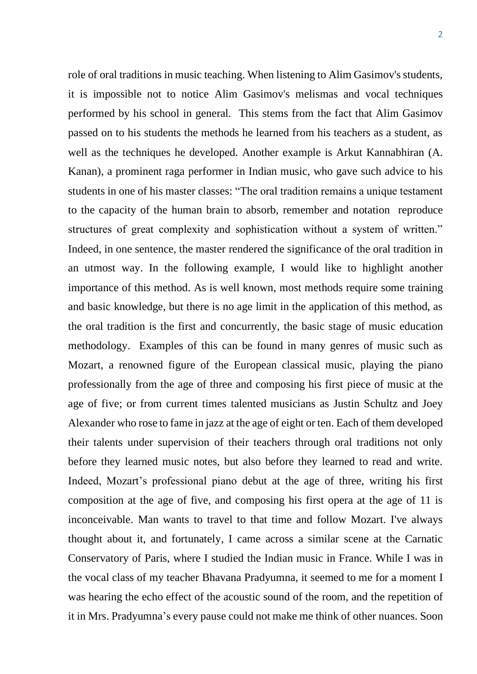role of oral traditions in music teaching. When listening to Alim Gasimov's students, it is impossible not to notice Alim Gasimov's melismas and vocal techniques performed by his school in general. This stems from the fact that Alim Gasimov passed on to his students the methods he learned from his teachers as a student, as well as the techniques he developed. Another example is Arkut Kannabhiran (A. Kanan), a prominent raga performer in Indian music, who gave such advice to his students in one of his master classes: "The oral tradition remains a unique testament to the capacity of the human brain to absorb, remember and notation reproduce structures of great complexity and sophistication without a system of written." Indeed, in one sentence, the master rendered the significance of the oral tradition in an utmost way. In the following example, I would like to highlight another importance of this method. As is well known, most methods require some training and basic knowledge, but there is no age limit in the application of this method, as the oral tradition is the first and concurrently, the basic stage of music education methodology. Examples of this can be found in many genres of music such as Mozart, a renowned figure of the European classical music, playing the piano professionally from the age of three and composing his first piece of music at the age of five; or from current times talented musicians as Justin Schultz and Joey Alexander who rose to fame in jazz at the age of eight or ten. Each of them developed their talents under supervision of their teachers through oral traditions not only before they learned music notes, but also before they learned to read and write. Indeed, Mozart's professional piano debut at the age of three, writing his first composition at the age of five, and composing his first opera at the age of 11 is inconceivable. Man wants to travel to that time and follow Mozart. I've always thought about it, and fortunately, I came across a similar scene at the Carnatic Conservatory of Paris, where I studied the Indian music in France. While I was in the vocal class of my teacher Bhavana Pradyumna, it seemed to me for a moment I was hearing the echo effect of the acoustic sound of the room, and the repetition of it in Mrs. Pradyumna's every pause could not make me think of other nuances. Soon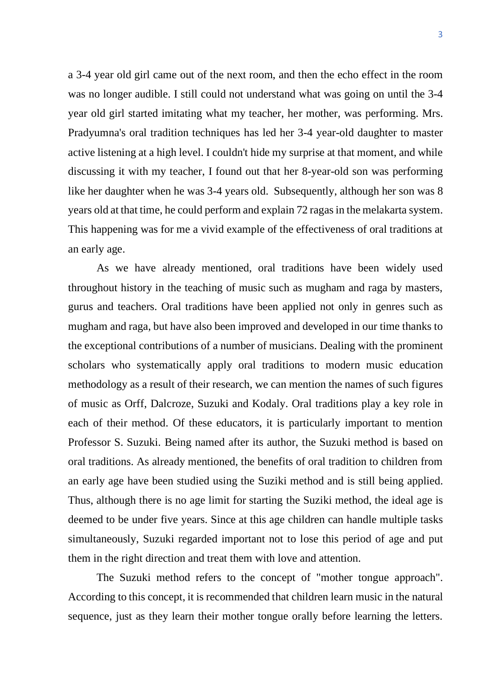a 3-4 year old girl came out of the next room, and then the echo effect in the room was no longer audible. I still could not understand what was going on until the 3-4 year old girl started imitating what my teacher, her mother, was performing. Mrs. Pradyumna's oral tradition techniques has led her 3-4 year-old daughter to master active listening at a high level. I couldn't hide my surprise at that moment, and while discussing it with my teacher, I found out that her 8-year-old son was performing like her daughter when he was 3-4 years old. Subsequently, although her son was 8 years old at that time, he could perform and explain 72 ragas in the melakarta system. This happening was for me a vivid example of the effectiveness of oral traditions at an early age.

As we have already mentioned, oral traditions have been widely used throughout history in the teaching of music such as mugham and raga by masters, gurus and teachers. Oral traditions have been applied not only in genres such as mugham and raga, but have also been improved and developed in our time thanks to the exceptional contributions of a number of musicians. Dealing with the prominent scholars who systematically apply oral traditions to modern music education methodology as a result of their research, we can mention the names of such figures of music as Orff, Dalcroze, Suzuki and Kodaly. Oral traditions play a key role in each of their method. Of these educators, it is particularly important to mention Professor S. Suzuki. Being named after its author, the Suzuki method is based on oral traditions. As already mentioned, the benefits of oral tradition to children from an early age have been studied using the Suziki method and is still being applied. Thus, although there is no age limit for starting the Suziki method, the ideal age is deemed to be under five years. Since at this age children can handle multiple tasks simultaneously, Suzuki regarded important not to lose this period of age and put them in the right direction and treat them with love and attention.

The Suzuki method refers to the concept of "mother tongue approach". According to this concept, it is recommended that children learn music in the natural sequence, just as they learn their mother tongue orally before learning the letters.